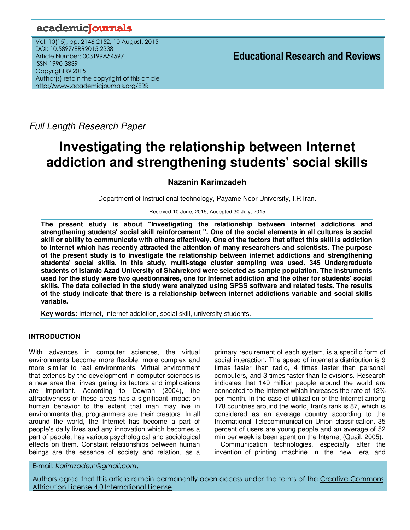# academiclournals

Vol. 10(15), pp. 2146-2152, 10 August, 2015 DOI: 10.5897/ERR2015.2338 Article Number: 003199A54597 ISSN 1990-3839 Copyright © 2015 Author(s) retain the copyright of this article http://www.academicjournals.org/ERR

**Educational Research and Reviews**

Full Length Research Paper

# **Investigating the relationship between Internet addiction and strengthening students' social skills**

# **Nazanin Karimzadeh**

Department of Instructional technology, Payame Noor University, I.R Iran.

Received 10 June, 2015; Accepted 30 July, 2015

**The present study is about "Investigating the relationship between internet addictions and strengthening students' social skill reinforcement ". One of the social elements in all cultures is social skill or ability to communicate with others effectively. One of the factors that affect this skill is addiction to Internet which has recently attracted the attention of many researchers and scientists. The purpose of the present study is to investigate the relationship between internet addictions and strengthening students' social skills. In this study, multi-stage cluster sampling was used. 345 Undergraduate students of Islamic Azad University of Shahrekord were selected as sample population. The instruments used for the study were two questionnaires, one for Internet addiction and the other for students' social skills. The data collected in the study were analyzed using SPSS software and related tests. The results of the study indicate that there is a relationship between internet addictions variable and social skills variable.** 

**Key words:** Internet, internet addiction, social skill, university students.

## **INTRODUCTION**

With advances in computer sciences, the virtual environments become more flexible, more complex and more similar to real environments. Virtual environment that extends by the development in computer sciences is a new area that investigating its factors and implications are important. According to Dowran (2004), the attractiveness of these areas has a significant impact on human behavior to the extent that man may live in environments that programmers are their creators. In all around the world, the Internet has become a part of people's daily lives and any innovation which becomes a part of people, has various psychological and sociological effects on them. Constant relationships between human beings are the essence of society and relation, as a

primary requirement of each system, is a specific form of social interaction. The speed of internet's distribution is 9 times faster than radio, 4 times faster than personal computers, and 3 times faster than televisions. Research indicates that 149 million people around the world are connected to the Internet which increases the rate of 12% per month. In the case of utilization of the Internet among 178 countries around the world, Iran's rank is 87, which is considered as an average country according to the International Telecommunication Union classification. 35 percent of users are young people and an average of 52 min per week is been spent on the Internet (Quail, 2005).

Communication technologies, especially after the invention of printing machine in the new era and

E-mail: *Karimzade.n@gmail.com*.

Authors agree that this article remain permanently open access under the terms of the Creative Commons Attribution License 4.0 International License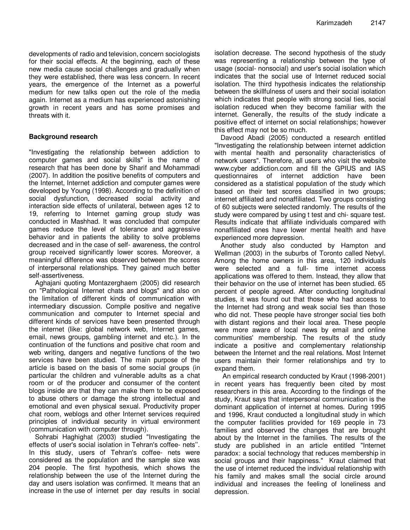developments of radio and television, concern sociologists for their social effects. At the beginning, each of these new media cause social challenges and gradually when they were established, there was less concern. In recent years, the emergence of the Internet as a powerful medium for new talks open out the role of the media again. Internet as a medium has experienced astonishing growth in recent years and has some promises and threats with it.

### **Background research**

"Investigating the relationship between addiction to computer games and social skills" is the name of research that has been done by Sharif and Mohammadi (2007). In addition the positive benefits of computers and the Internet, Internet addiction and computer games were developed by Young (1998). According to the definition of social dysfunction, decreased social activity and interaction side effects of unilateral, between ages 12 to 19, referring to Internet gaming group study was conducted in Mashhad. It was concluded that computer games reduce the level of tolerance and aggressive behavior and in patients the ability to solve problems decreased and in the case of self- awareness, the control group received significantly lower scores. Moreover, a meaningful difference was observed between the scores of interpersonal relationships. They gained much better self-assertiveness.

Aghajani quoting Montazerghaem (2005) did research on "Pathological Internet chats and blogs" and also on the limitation of different kinds of communication with intermediary discussion. Compile positive and negative communication and computer to Internet special and different kinds of services have been presented through the internet (like: global network web, Internet games, email, news groups, gambling internet and etc.). In the continuation of the functions and positive chat room and web writing, dangers and negative functions of the two services have been studied. The main purpose of the article is based on the basis of some social groups (in particular the children and vulnerable adults as a chat room or of the producer and consumer of the content blogs inside are that they can make them to be exposed to abuse others or damage the strong intellectual and emotional and even physical sexual. Productivity proper chat room, weblogs and other Internet services required principles of individual security in virtual environment (communication with computer through).

Sohrabi Haghighat (2003) studied "Investigating the effects of user's social isolation in Tehran's coffee- nets''. In this study, users of Tehran's coffee- nets were considered as the population and the sample size was 204 people. The first hypothesis, which shows the relationship between the use of the Internet during the day and users isolation was confirmed. It means that an increase in the use of internet per day results in social

isolation decrease. The second hypothesis of the study was representing a relationship between the type of usage (social- nonsocial) and user's social isolation which indicates that the social use of Internet reduced social isolation. The third hypothesis indicates the relationship between the skillfulness of users and their social isolation which indicates that people with strong social ties, social isolation reduced when they become familiar with the internet. Generally, the results of the study indicate a positive effect of internet on social relationships; however this effect may not be so much.

Davood Abadi (2005) conducted a research entitled "Investigating the relationship between internet addiction with mental health and personality characteristics of network users". Therefore, all users who visit the website www.cyber addiction.com and fill the GPIUS and IAS questionnaires of internet addiction have been considered as a statistical population of the study which based on their test scores classified in two groups; internet affiliated and nonaffiliated. Two groups consisting of 60 subjects were selected randomly. The results of the study were compared by using t test and chi- square test. Results indicate that affiliate individuals compared with nonaffiliated ones have lower mental health and have experienced more depression.

Another study also conducted by Hampton and Wellman (2003) in the suburbs of Toronto called Netvyl. Among the home owners in this area, 120 individuals were selected and a full- time internet access applications was offered to them. Instead, they allow that their behavior on the use of internet has been studied. 65 percent of people agreed. After conducting longitudinal studies, it was found out that those who had access to the Internet had strong and weak social ties than those who did not. These people have stronger social ties both with distant regions and their local area. These people were more aware of local news by email and online communities' membership. The results of the study indicate a positive and complementary relationship between the Internet and the real relations. Most Internet users maintain their former relationships and try to expand them.

 An empirical research conducted by Kraut (1998-2001) in recent years has frequently been cited by most researchers in this area. According to the findings of the study, Kraut says that interpersonal communication is the dominant application of internet at homes. During 1995 and 1996, Kraut conducted a longitudinal study in which the computer facilities provided for 169 people in 73 families and observed the changes that are brought about by the Internet in the families. The results of the study are published in an article entitled "Internet paradox: a social technology that reduces membership in social groups and their happiness." Kraut claimed that the use of internet reduced the individual relationship with his family and makes small the social circle around individual and increases the feeling of loneliness and depression.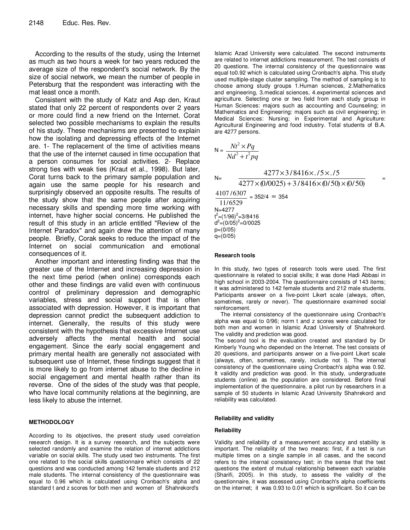According to the results of the study, using the Internet as much as two hours a week for two years reduced the average size of the respondent's social network. By the size of social network, we mean the number of people in Petersburg that the respondent was interacting with the mat least once a month.

Consistent with the study of Katz and Asp den, Kraut stated that only 22 percent of respondents over 2 years or more could find a new friend on the Internet. Corat selected two possible mechanisms to explain the results of his study. These mechanisms are presented to explain how the isolating and depressing effects of the Internet are. 1- The replacement of the time of activities means that the use of the internet caused in time occupation that a person consumes for social activities. 2- Replace strong ties with weak ties (Kraut et al., 1998). But later, Corat turns back to the primary sample population and again use the same people for his research and surprisingly observed an opposite results. The results of the study show that the same people after acquiring necessary skills and spending more time working with internet, have higher social concerns. He published the result of this study in an article entitled "Review of the Internet Paradox" and again drew the attention of many people. Briefly, Corak seeks to reduce the impact of the Internet on social communication and emotional consequences of it.

Another important and interesting finding was that the greater use of the Internet and increasing depression in the next time period (when online) corresponds each other and these findings are valid even with continuous control of preliminary depression and demographic variables, stress and social support that is often associated with depression. However, it is important that depression cannot predict the subsequent addiction to internet. Generally, the results of this study were consistent with the hypothesis that excessive Internet use adversely affects the mental health and social engagement. Since the early social engagement and primary mental health are generally not associated with subsequent use of Internet, these findings suggest that it is more likely to go from internet abuse to the decline in social engagement and mental health rather than its reverse. One of the sides of the study was that people, who have local community relations at the beginning, are less likely to abuse the internet.

#### **METHODOLOGY**

According to its objectives, the present study used correlation research design. It is a survey research, and the subjects were selected randomly and examine the relation of internet addictions variable on social skills. The study used two instruments. The first one related to the social skills questionnaire which consists of 22 questions and was conducted among 142 female students and 212 male students. The internal consistency of the questionnaire was equal to 0.96 which is calculated using Cronbach's alpha and standard t and z scores for both men and women of Shahrekord's

Islamic Azad University were calculated. The second instruments are related to internet addictions measurement. The test consists of 20 questions. The internal consistency of the questionnaire was equal to0.92 which is calculated using Cronbach's alpha. This study used multiple-stage cluster sampling. The method of sampling is to choose among study groups 1.Human sciences, 2.Mathematics and engineering, 3.medical sciences, 4.experimental sciences and agriculture. Selecting one or two field from each study group in Human Sciences: majors such as accounting and Counseling; in Mathematics and Engineering: majors such as civil engineering; in Medical Sciences: Nursing; in Experimental and Agriculture: Agricultural Engineering and food industry. Total students of B.A. are 4277 persons.

$$
N = \frac{Nt^2 \times Pq}{Nd^2 + t^2 pq}
$$
  
\n
$$
N = \frac{4277 \times 3/8416 \times ./5 \times ./5}{4277 \times (0/0025) + 3/8416 \times (0/50) \times (0/50)}
$$
  
\n
$$
\frac{4107/6307}{11/6529} = 352/4 \approx 354
$$
  
\n
$$
N = 4277
$$
  
\n $t^2 = (1/96)^2 = 3/8416$   
\n $d^2 = (0/05)^2 = 0/0025$   
\n $p = (0/05)$   
\n $q = (0/05)$ 

#### **Research tools**

In this study, two types of research tools were used. The first questionnaire is related to social skills; it was done Hadi Abbasi in high school in 2003-2004. The questionnaire consists of 143 items; it was administered to 142 female students and 212 male students. Participants answer on a five-point Likert scale (always, often, sometimes, rarely or never). The questionnaire examined social reinforcement.

The internal consistency of the questionnaire using Cronbach's alpha was equal to 0/96; norm t and z scores were calculated for both men and women in Islamic Azad University of Shahrekord. The validity and prediction was good.

The second tool is the evaluation created and standard by Dr Kimberly Young who depended on the Internet. The test consists of 20 questions, and participants answer on a five-point Likert scale (always, often, sometimes, rarely, include not I). The internal consistency of the questionnaire using Cronbach's alpha was 0.92. It validity and prediction was good. In this study, undergraduate students (online) as the population are considered. Before final implementation of the questionnaire, a pilot run by researchers in a sample of 50 students in Islamic Azad University Shahrekord and reliability was calculated.

#### **Reliability and validity**

#### **Reliability**

Validity and reliability of a measurement accuracy and stability is important. The reliability of the two means: first, if a test is run multiple times on a single sample in all cases, and the second refers to the internal consistency test; in the sense that the test questions the extent of mutual relationship between each variable (Sharifi, 2005). In this study, to assess the validity of the questionnaire, it was assessed using Cronbach's alpha coefficients on the internet; it was 0.93 to 0.01 which is significant. So it can be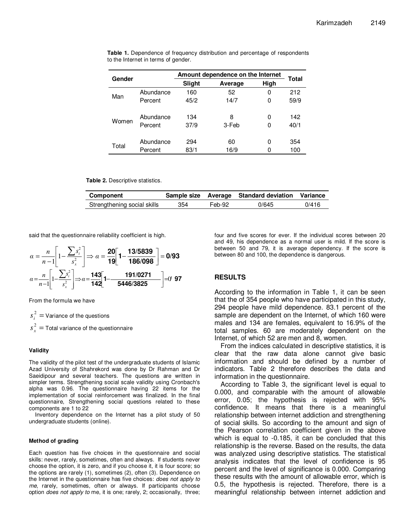| Gender |           | Amount dependence on the Internet |         |      |       |
|--------|-----------|-----------------------------------|---------|------|-------|
|        |           | Slight                            | Average | High | Total |
| Man    | Abundance | 160                               | 52      | 0    | 212   |
|        | Percent   | 45/2                              | 14/7    | 0    | 59/9  |
|        |           |                                   |         |      |       |
| Women  | Abundance | 134                               | 8       | 0    | 142   |
|        | Percent   | 37/9                              | 3-Feb   | 0    | 40/1  |
|        |           |                                   |         |      |       |
| Total  | Abundance | 294                               | 60      | 0    | 354   |
|        | Percent   | 83/1                              | 16/9    |      | 100   |

**Table 1.** Dependence of frequency distribution and percentage of respondents to the Internet in terms of gender.

**Table 2.** Descriptive statistics.

| Component                   |     |        | Sample size Average Standard deviation Variance |       |
|-----------------------------|-----|--------|-------------------------------------------------|-------|
| Strengthening social skills | 354 | Feb-92 | 0/645                                           | 0/416 |

said that the questionnaire reliability coefficient is high.

$$
\alpha = \frac{n}{n-1} \left[ 1 - \frac{\sum s_i^2}{s_x^2} \right] \Rightarrow \alpha = \frac{20}{19} \left[ 1 - \frac{13/5839}{186/098} \right] = 0/93
$$

$$
\alpha = \frac{n}{n-1} \left[ 1 - \frac{\sum s_i^2}{s_x^2} \right] \Rightarrow \alpha = \frac{143}{142} \left[ 1 - \frac{191/0271}{5446/3825} \right] = 0/97
$$

From the formula we have

 $\frac{2}{1}$  =  $s_i^2$  = Variance of the questions

 $2 =$  $s_x^2$  = Total variance of the questionnaire

#### **Validity**

The validity of the pilot test of the undergraduate students of Islamic Azad University of Shahrekord was done by Dr Rahman and Dr Saeidipour and several teachers. The questions are written in simpler terms. Strengthening social scale validity using Cronbach's alpha was 0.96. The questionnaire having 22 items for the implementation of social reinforcement was finalized. In the final questionnaire, Strengthening social questions related to these components are 1 to 22

Inventory dependence on the Internet has a pilot study of 50 undergraduate students (online).

#### **Method of grading**

Each question has five choices in the questionnaire and social skills: never, rarely, sometimes, often and always. If students never choose the option, it is zero, and if you choose it, it is four score; so the options are rarely (1), sometimes (2), often (3). Dependence on the Internet in the questionnaire has five choices: does not apply to me, rarely, sometimes, often or always. If participants choose option *does not apply to* me, it is one; rarely, 2; occasionally, three; four and five scores for ever. If the individual scores between 20 and 49, his dependence as a normal user is mild. If the score is between 50 and 79, it is average dependency. If the score is between 80 and 100, the dependence is dangerous.

#### **RESULTS**

According to the information in Table 1, it can be seen that the of 354 people who have participated in this study, 294 people have mild dependence. 83.1 percent of the sample are dependent on the Internet, of which 160 were males and 134 are females, equivalent to 16.9% of the total samples. 60 are moderately dependent on the Internet, of which 52 are men and 8, women.

From the indices calculated in descriptive statistics, it is clear that the raw data alone cannot give basic information and should be defined by a number of indicators. Table 2 therefore describes the data and information in the questionnaire.

According to Table 3, the significant level is equal to 0.000, and comparable with the amount of allowable error, 0.05; the hypothesis is rejected with 95% confidence. It means that there is a meaningful relationship between internet addiction and strengthening of social skills. So according to the amount and sign of the Pearson correlation coefficient given in the above which is equal to -0.185, it can be concluded that this relationship is the reverse. Based on the results, the data was analyzed using descriptive statistics. The statistical analysis indicates that the level of confidence is 95 percent and the level of significance is 0.000. Comparing these results with the amount of allowable error, which is 0.5, the hypothesis is rejected. Therefore, there is a meaningful relationship between internet addiction and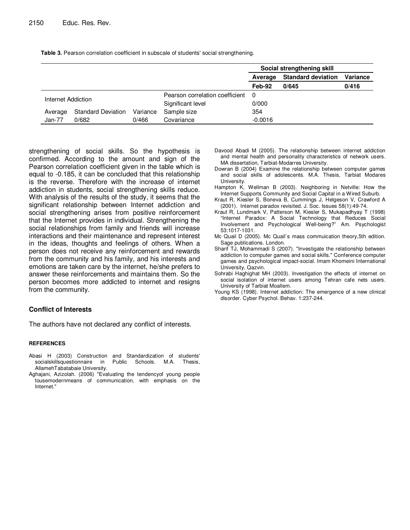|                    |                           |                                 |             | Social strengthening skill |          |       |  |
|--------------------|---------------------------|---------------------------------|-------------|----------------------------|----------|-------|--|
|                    |                           |                                 | Average     | <b>Standard deviation</b>  | Variance |       |  |
|                    |                           |                                 |             | Feb-92                     | 0/645    | 0/416 |  |
| Internet Addiction |                           | Pearson correlation coefficient | - 0         |                            |          |       |  |
|                    |                           | Significant level               | 0/000       |                            |          |       |  |
| Average            | <b>Standard Deviation</b> | Variance                        | Sample size | 354                        |          |       |  |
| $Jan-77$           | 0/682                     | 0/466                           | Covariance  | $-0.0016$                  |          |       |  |

**Table 3.** Pearson correlation coefficient in subscale of students' social strengthening.

strengthening of social skills. So the hypothesis is confirmed. According to the amount and sign of the Pearson correlation coefficient given in the table which is equal to -0.185, it can be concluded that this relationship is the reverse. Therefore with the increase of internet addiction in students, social strengthening skills reduce. With analysis of the results of the study, it seems that the significant relationship between Internet addiction and social strengthening arises from positive reinforcement that the Internet provides in individual. Strengthening the social relationships from family and friends will increase interactions and their maintenance and represent interest in the ideas, thoughts and feelings of others. When a person does not receive any reinforcement and rewards from the community and his family, and his interests and emotions are taken care by the internet, he/she prefers to answer these reinforcements and maintains them. So the person becomes more addicted to internet and resigns from the community.

## **Conflict of Interests**

The authors have not declared any conflict of interests.

#### **REFERENCES**

- Abasi H (2003) Construction and Standardization of students' socialskillsquestionnaire in Public Schools. M.A. Thesis, AllamehTabatabaie University.
- Aghajani, Azizolah. (2006) "Evaluating the tendencyof young people tousemodernmeans of communication, with emphasis on the Internet."
- Davood Abadi M (2005). The relationship between internet addiction and mental health and personality characteristics of network users. MA dissertation, Tarbiat-Modarres University.
- Dowran B (2004) Examine the relationship between computer games and social skills of adolescents. M.A. Thesis, Tarbiat Modares University.
- Hampton K, Wellman B (2003). Neighboring in Netville: How the Internet Supports Community and Social Capital in a Wired Suburb.
- Kraut R, Kiesler S, Boneva B, Cummings J, Helgeson V, Crawford A (2001). Internet paradox revisited. J. Soc. Issues 58(1):49-74.
- Kraut R, Lundmark V, Patterson M, Kiesler S, Mukapadhyay T (1998) "Internet Paradox: A Social Technology that Reduces Social Involvement and Psychological Well-being?" Am. Psychologist 53:1017-1031.
- Mc Quail D (2005). Mc Quail`s mass commuication theory,5th edition. Sage publications. London.
- Sharif TJ, Mohammadi S (2007). "Investigate the relationship between addiction to computer games and social skills." Conference computer games and psychological impact-social. Imam Khomeini International University, Qazvin.
- Sohrabi Haghighat MH (2003). Investigation the effects of internet on social isolation of internet users among Tehran cafe nets users. University of Tarbiat Moallem.
- Young KS (1998). Internet addiction: The emergence of a new clinical disorder. Cyber Psychol. Behav. 1:237-244.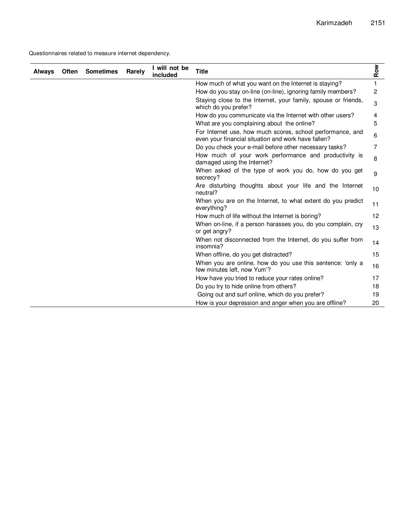Questionnaires related to measure internet dependency.

| <b>Always</b> | <b>Often</b> | <b>Sometimes</b> | Rarely | I will not be<br>included | <b>Title</b>                                                                                                      | Row |
|---------------|--------------|------------------|--------|---------------------------|-------------------------------------------------------------------------------------------------------------------|-----|
|               |              |                  |        |                           | How much of what you want on the Internet is staying?                                                             | 1   |
|               |              |                  |        |                           | How do you stay on-line (on-line), ignoring family members?                                                       | 2   |
|               |              |                  |        |                           | Staying close to the Internet, your family, spouse or friends,<br>which do you prefer?                            | 3   |
|               |              |                  |        |                           | How do you communicate via the Internet with other users?                                                         | 4   |
|               |              |                  |        |                           | What are you complaining about the online?                                                                        | 5   |
|               |              |                  |        |                           | For Internet use, how much scores, school performance, and<br>even your financial situation and work have fallen? | 6   |
|               |              |                  |        |                           | Do you check your e-mail before other necessary tasks?                                                            | 7   |
|               |              |                  |        |                           | How much of your work performance and productivity is<br>damaged using the Internet?                              | 8   |
|               |              |                  |        |                           | When asked of the type of work you do, how do you get<br>secrecy?                                                 | 9   |
|               |              |                  |        |                           | Are disturbing thoughts about your life and the Internet<br>neutral?                                              | 10  |
|               |              |                  |        |                           | When you are on the Internet, to what extent do you predict<br>everything?                                        | 11  |
|               |              |                  |        |                           | How much of life without the Internet is boring?                                                                  | 12  |
|               |              |                  |        |                           | When on-line, if a person harasses you, do you complain, cry<br>or get angry?                                     | 13  |
|               |              |                  |        |                           | When not disconnected from the Internet, do you suffer from<br>insomnia?                                          | 14  |
|               |              |                  |        |                           | When offline, do you get distracted?                                                                              | 15  |
|               |              |                  |        |                           | When you are online, how do you use this sentence: 'only a<br>few minutes left, now Yum'?                         | 16  |
|               |              |                  |        |                           | How have you tried to reduce your rates online?                                                                   | 17  |
|               |              |                  |        |                           | Do you try to hide online from others?                                                                            | 18  |
|               |              |                  |        |                           | Going out and surf online, which do you prefer?                                                                   | 19  |
|               |              |                  |        |                           | How is your depression and anger when you are offline?                                                            | 20  |